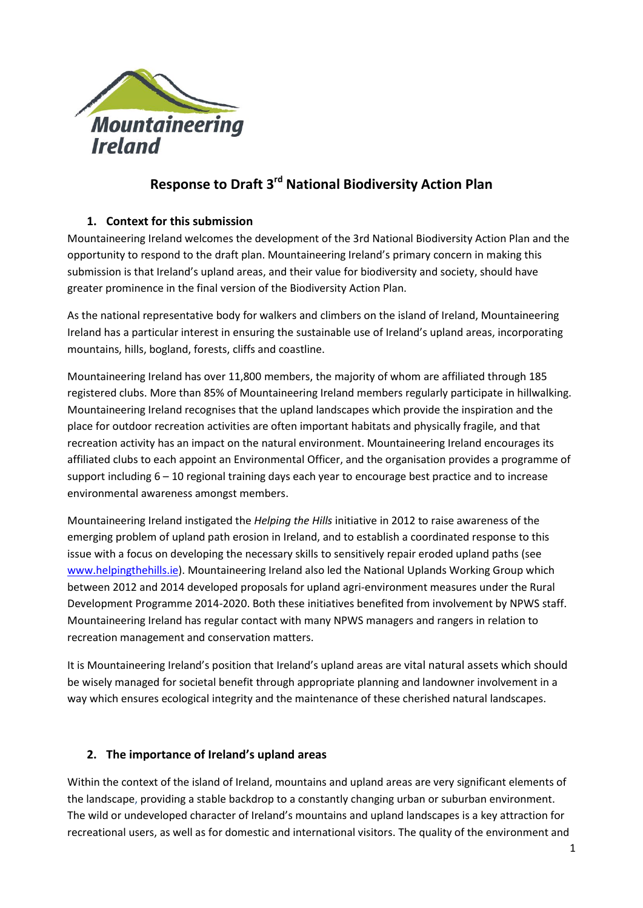

# **Response to Draft 3rd National Biodiversity Action Plan**

## **1. Context for this submission**

Mountaineering Ireland welcomes the development of the 3rd National Biodiversity Action Plan and the opportunity to respond to the draft plan. Mountaineering Ireland's primary concern in making this submission is that Ireland's upland areas, and their value for biodiversity and society, should have greater prominence in the final version of the Biodiversity Action Plan.

As the national representative body for walkers and climbers on the island of Ireland, Mountaineering Ireland has a particular interest in ensuring the sustainable use of Ireland's upland areas, incorporating mountains, hills, bogland, forests, cliffs and coastline.

Mountaineering Ireland has over 11,800 members, the majority of whom are affiliated through 185 registered clubs. More than 85% of Mountaineering Ireland members regularly participate in hillwalking. Mountaineering Ireland recognises that the upland landscapes which provide the inspiration and the place for outdoor recreation activities are often important habitats and physically fragile, and that recreation activity has an impact on the natural environment. Mountaineering Ireland encourages its affiliated clubs to each appoint an Environmental Officer, and the organisation provides a programme of support including 6 – 10 regional training days each year to encourage best practice and to increase environmental awareness amongst members.

Mountaineering Ireland instigated the *Helping the Hills* initiative in 2012 to raise awareness of the emerging problem of upland path erosion in Ireland, and to establish a coordinated response to this issue with a focus on developing the necessary skills to sensitively repair eroded upland paths (see [www.helpingthehills.ie\)](http://www.helpingthehills.ie/). Mountaineering Ireland also led the National Uplands Working Group which between 2012 and 2014 developed proposals for upland agri-environment measures under the Rural Development Programme 2014-2020. Both these initiatives benefited from involvement by NPWS staff. Mountaineering Ireland has regular contact with many NPWS managers and rangers in relation to recreation management and conservation matters.

It is Mountaineering Ireland's position that Ireland's upland areas are vital natural assets which should be wisely managed for societal benefit through appropriate planning and landowner involvement in a way which ensures ecological integrity and the maintenance of these cherished natural landscapes.

#### **2. The importance of Ireland's upland areas**

Within the context of the island of Ireland, mountains and upland areas are very significant elements of the landscape, providing a stable backdrop to a constantly changing urban or suburban environment. The wild or undeveloped character of Ireland's mountains and upland landscapes is a key attraction for recreational users, as well as for domestic and international visitors. The quality of the environment and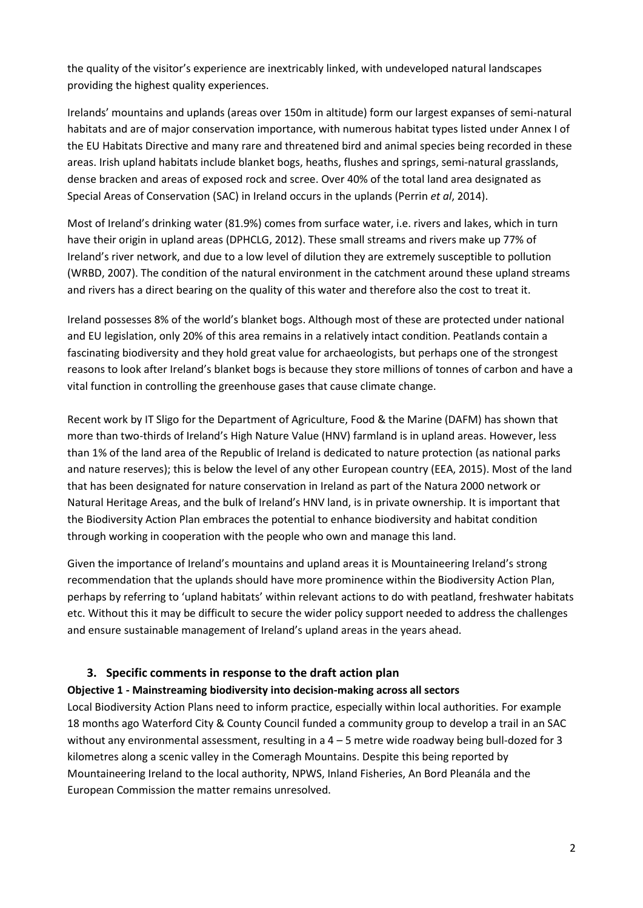the quality of the visitor's experience are inextricably linked, with undeveloped natural landscapes providing the highest quality experiences.

Irelands' mountains and uplands (areas over 150m in altitude) form our largest expanses of semi-natural habitats and are of major conservation importance, with numerous habitat types listed under Annex I of the EU Habitats Directive and many rare and threatened bird and animal species being recorded in these areas. Irish upland habitats include blanket bogs, heaths, flushes and springs, semi-natural grasslands, dense bracken and areas of exposed rock and scree. Over 40% of the total land area designated as Special Areas of Conservation (SAC) in Ireland occurs in the uplands (Perrin *et al*, 2014).

Most of Ireland's drinking water (81.9%) comes from surface water, i.e. rivers and lakes, which in turn have their origin in upland areas (DPHCLG, 2012). These small streams and rivers make up 77% of Ireland's river network, and due to a low level of dilution they are extremely susceptible to pollution (WRBD, 2007). The condition of the natural environment in the catchment around these upland streams and rivers has a direct bearing on the quality of this water and therefore also the cost to treat it.

Ireland possesses 8% of the world's blanket bogs. Although most of these are protected under national and EU legislation, only 20% of this area remains in a relatively intact condition. Peatlands contain a fascinating biodiversity and they hold great value for archaeologists, but perhaps one of the strongest reasons to look after Ireland's blanket bogs is because they store millions of tonnes of carbon and have a vital function in controlling the greenhouse gases that cause climate change.

Recent work by IT Sligo for the Department of Agriculture, Food & the Marine (DAFM) has shown that more than two-thirds of Ireland's High Nature Value (HNV) farmland is in upland areas. However, less than 1% of the land area of the Republic of Ireland is dedicated to nature protection (as national parks and nature reserves); this is below the level of any other European country (EEA, 2015). Most of the land that has been designated for nature conservation in Ireland as part of the Natura 2000 network or Natural Heritage Areas, and the bulk of Ireland's HNV land, is in private ownership. It is important that the Biodiversity Action Plan embraces the potential to enhance biodiversity and habitat condition through working in cooperation with the people who own and manage this land.

Given the importance of Ireland's mountains and upland areas it is Mountaineering Ireland's strong recommendation that the uplands should have more prominence within the Biodiversity Action Plan, perhaps by referring to 'upland habitats' within relevant actions to do with peatland, freshwater habitats etc. Without this it may be difficult to secure the wider policy support needed to address the challenges and ensure sustainable management of Ireland's upland areas in the years ahead.

#### **3. Specific comments in response to the draft action plan**

#### **Objective 1 - Mainstreaming biodiversity into decision-making across all sectors**

Local Biodiversity Action Plans need to inform practice, especially within local authorities. For example 18 months ago Waterford City & County Council funded a community group to develop a trail in an SAC without any environmental assessment, resulting in a 4 – 5 metre wide roadway being bull-dozed for 3 kilometres along a scenic valley in the Comeragh Mountains. Despite this being reported by Mountaineering Ireland to the local authority, NPWS, Inland Fisheries, An Bord Pleanála and the European Commission the matter remains unresolved.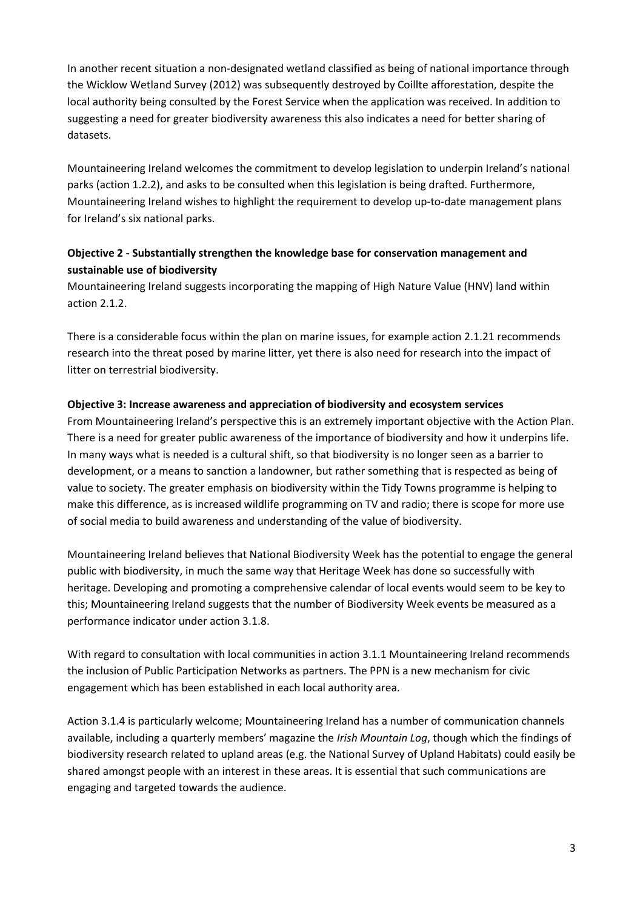In another recent situation a non-designated wetland classified as being of national importance through the Wicklow Wetland Survey (2012) was subsequently destroyed by Coillte afforestation, despite the local authority being consulted by the Forest Service when the application was received. In addition to suggesting a need for greater biodiversity awareness this also indicates a need for better sharing of datasets.

Mountaineering Ireland welcomes the commitment to develop legislation to underpin Ireland's national parks (action 1.2.2), and asks to be consulted when this legislation is being drafted. Furthermore, Mountaineering Ireland wishes to highlight the requirement to develop up-to-date management plans for Ireland's six national parks.

## **Objective 2 - Substantially strengthen the knowledge base for conservation management and sustainable use of biodiversity**

Mountaineering Ireland suggests incorporating the mapping of High Nature Value (HNV) land within action 2.1.2.

There is a considerable focus within the plan on marine issues, for example action 2.1.21 recommends research into the threat posed by marine litter, yet there is also need for research into the impact of litter on terrestrial biodiversity.

#### **Objective 3: Increase awareness and appreciation of biodiversity and ecosystem services**

From Mountaineering Ireland's perspective this is an extremely important objective with the Action Plan. There is a need for greater public awareness of the importance of biodiversity and how it underpins life. In many ways what is needed is a cultural shift, so that biodiversity is no longer seen as a barrier to development, or a means to sanction a landowner, but rather something that is respected as being of value to society. The greater emphasis on biodiversity within the Tidy Towns programme is helping to make this difference, as is increased wildlife programming on TV and radio; there is scope for more use of social media to build awareness and understanding of the value of biodiversity.

Mountaineering Ireland believes that National Biodiversity Week has the potential to engage the general public with biodiversity, in much the same way that Heritage Week has done so successfully with heritage. Developing and promoting a comprehensive calendar of local events would seem to be key to this; Mountaineering Ireland suggests that the number of Biodiversity Week events be measured as a performance indicator under action 3.1.8.

With regard to consultation with local communities in action 3.1.1 Mountaineering Ireland recommends the inclusion of Public Participation Networks as partners. The PPN is a new mechanism for civic engagement which has been established in each local authority area.

Action 3.1.4 is particularly welcome; Mountaineering Ireland has a number of communication channels available, including a quarterly members' magazine the *Irish Mountain Log*, though which the findings of biodiversity research related to upland areas (e.g. the National Survey of Upland Habitats) could easily be shared amongst people with an interest in these areas. It is essential that such communications are engaging and targeted towards the audience.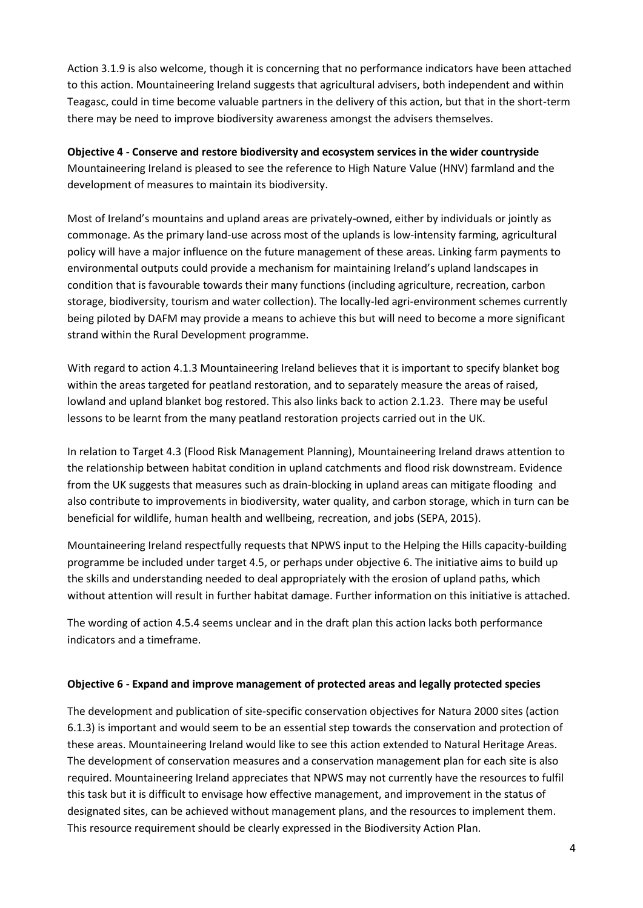Action 3.1.9 is also welcome, though it is concerning that no performance indicators have been attached to this action. Mountaineering Ireland suggests that agricultural advisers, both independent and within Teagasc, could in time become valuable partners in the delivery of this action, but that in the short-term there may be need to improve biodiversity awareness amongst the advisers themselves.

**Objective 4 - Conserve and restore biodiversity and ecosystem services in the wider countryside** Mountaineering Ireland is pleased to see the reference to High Nature Value (HNV) farmland and the development of measures to maintain its biodiversity.

Most of Ireland's mountains and upland areas are privately-owned, either by individuals or jointly as commonage. As the primary land-use across most of the uplands is low-intensity farming, agricultural policy will have a major influence on the future management of these areas. Linking farm payments to environmental outputs could provide a mechanism for maintaining Ireland's upland landscapes in condition that is favourable towards their many functions (including agriculture, recreation, carbon storage, biodiversity, tourism and water collection). The locally-led agri-environment schemes currently being piloted by DAFM may provide a means to achieve this but will need to become a more significant strand within the Rural Development programme.

With regard to action 4.1.3 Mountaineering Ireland believes that it is important to specify blanket bog within the areas targeted for peatland restoration, and to separately measure the areas of raised, lowland and upland blanket bog restored. This also links back to action 2.1.23. There may be useful lessons to be learnt from the many peatland restoration projects carried out in the UK.

In relation to Target 4.3 (Flood Risk Management Planning), Mountaineering Ireland draws attention to the relationship between habitat condition in upland catchments and flood risk downstream. Evidence from the UK suggests that measures such as drain-blocking in upland areas can mitigate flooding and also contribute to improvements in biodiversity, water quality, and carbon storage, which in turn can be beneficial for wildlife, human health and wellbeing, recreation, and jobs (SEPA, 2015).

Mountaineering Ireland respectfully requests that NPWS input to the Helping the Hills capacity-building programme be included under target 4.5, or perhaps under objective 6. The initiative aims to build up the skills and understanding needed to deal appropriately with the erosion of upland paths, which without attention will result in further habitat damage. Further information on this initiative is attached.

The wording of action 4.5.4 seems unclear and in the draft plan this action lacks both performance indicators and a timeframe.

#### **Objective 6 - Expand and improve management of protected areas and legally protected species**

The development and publication of site-specific conservation objectives for Natura 2000 sites (action 6.1.3) is important and would seem to be an essential step towards the conservation and protection of these areas. Mountaineering Ireland would like to see this action extended to Natural Heritage Areas. The development of conservation measures and a conservation management plan for each site is also required. Mountaineering Ireland appreciates that NPWS may not currently have the resources to fulfil this task but it is difficult to envisage how effective management, and improvement in the status of designated sites, can be achieved without management plans, and the resources to implement them. This resource requirement should be clearly expressed in the Biodiversity Action Plan.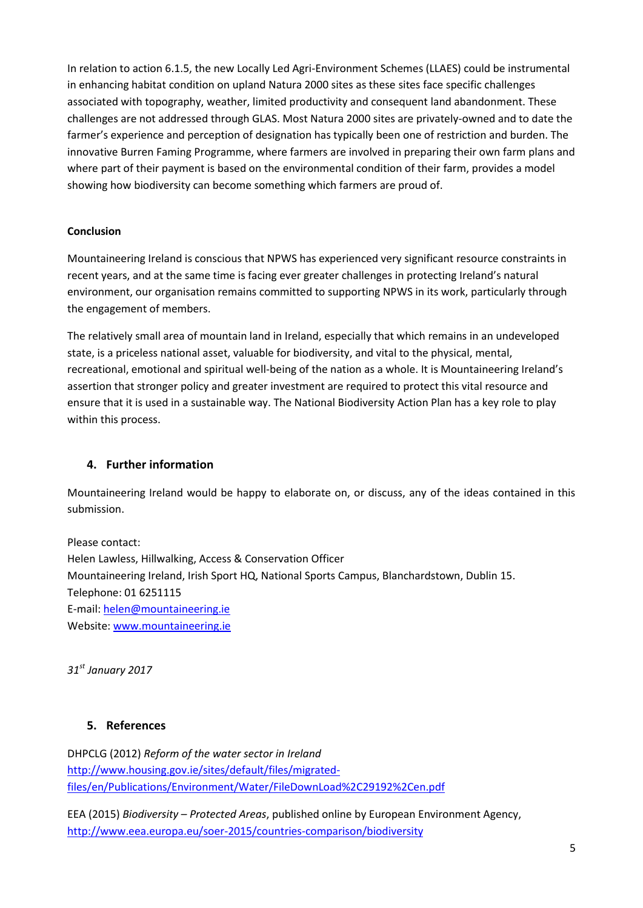In relation to action 6.1.5, the new Locally Led Agri-Environment Schemes (LLAES) could be instrumental in enhancing habitat condition on upland Natura 2000 sites as these sites face specific challenges associated with topography, weather, limited productivity and consequent land abandonment. These challenges are not addressed through GLAS. Most Natura 2000 sites are privately-owned and to date the farmer's experience and perception of designation has typically been one of restriction and burden. The innovative Burren Faming Programme, where farmers are involved in preparing their own farm plans and where part of their payment is based on the environmental condition of their farm, provides a model showing how biodiversity can become something which farmers are proud of.

### **Conclusion**

Mountaineering Ireland is conscious that NPWS has experienced very significant resource constraints in recent years, and at the same time is facing ever greater challenges in protecting Ireland's natural environment, our organisation remains committed to supporting NPWS in its work, particularly through the engagement of members.

The relatively small area of mountain land in Ireland, especially that which remains in an undeveloped state, is a priceless national asset, valuable for biodiversity, and vital to the physical, mental, recreational, emotional and spiritual well-being of the nation as a whole. It is Mountaineering Ireland's assertion that stronger policy and greater investment are required to protect this vital resource and ensure that it is used in a sustainable way. The National Biodiversity Action Plan has a key role to play within this process.

## **4. Further information**

Mountaineering Ireland would be happy to elaborate on, or discuss, any of the ideas contained in this submission.

Please contact: Helen Lawless, Hillwalking, Access & Conservation Officer Mountaineering Ireland, Irish Sport HQ, National Sports Campus, Blanchardstown, Dublin 15. Telephone: 01 6251115 E-mail[: helen@mountaineering.ie](mailto:helen@mountaineering.ie) Website: [www.mountaineering.ie](http://www.mountaineering.ie/)

*31st January 2017*

## **5. References**

DHPCLG (2012) *Reform of the water sector in Ireland* [http://www.housing.gov.ie/sites/default/files/migrated](http://www.housing.gov.ie/sites/default/files/migrated-files/en/Publications/Environment/Water/FileDownLoad%2C29192%2Cen.pdf)[files/en/Publications/Environment/Water/FileDownLoad%2C29192%2Cen.pdf](http://www.housing.gov.ie/sites/default/files/migrated-files/en/Publications/Environment/Water/FileDownLoad%2C29192%2Cen.pdf)

EEA (2015) *Biodiversity – Protected Areas*, published online by European Environment Agency, <http://www.eea.europa.eu/soer-2015/countries-comparison/biodiversity>